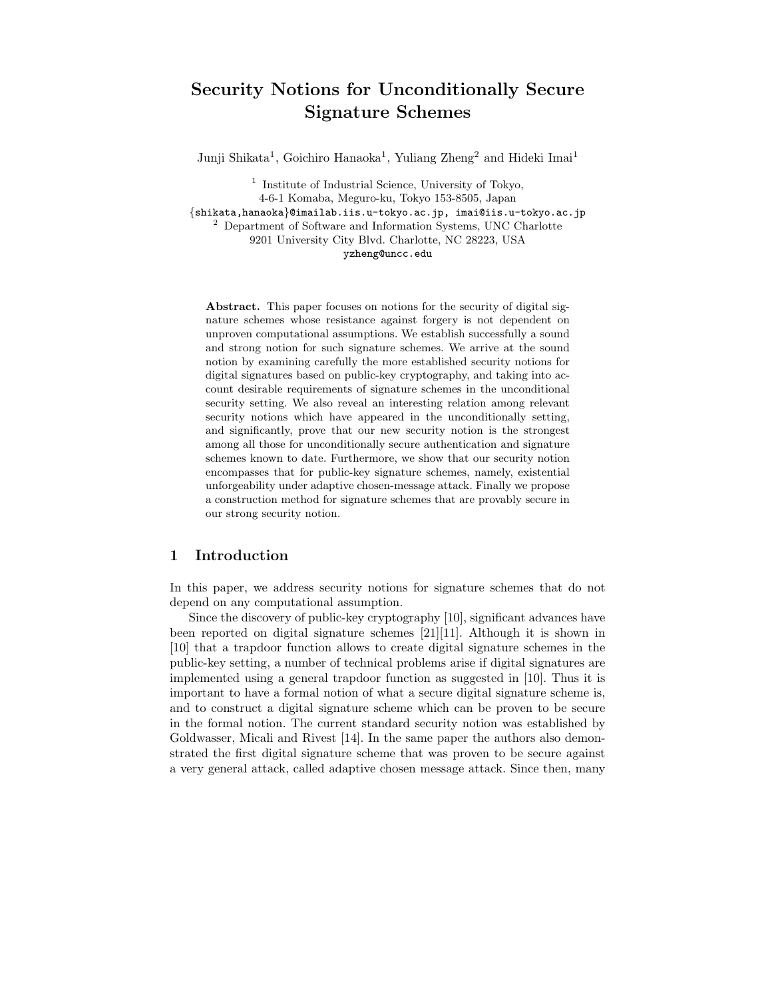# Security Notions for Unconditionally Secure Signature Schemes

Junji Shikata<sup>1</sup>, Goichiro Hanaoka<sup>1</sup>, Yuliang Zheng<sup>2</sup> and Hideki Imai<sup>1</sup>

<sup>1</sup> Institute of Industrial Science, University of Tokyo, 4-6-1 Komaba, Meguro-ku, Tokyo 153-8505, Japan {shikata,hanaoka}@imailab.iis.u-tokyo.ac.jp, imai@iis.u-tokyo.ac.jp  $2$  Department of Software and Information Systems, UNC Charlotte 9201 University City Blvd. Charlotte, NC 28223, USA yzheng@uncc.edu

Abstract. This paper focuses on notions for the security of digital signature schemes whose resistance against forgery is not dependent on unproven computational assumptions. We establish successfully a sound and strong notion for such signature schemes. We arrive at the sound notion by examining carefully the more established security notions for digital signatures based on public-key cryptography, and taking into account desirable requirements of signature schemes in the unconditional security setting. We also reveal an interesting relation among relevant security notions which have appeared in the unconditionally setting, and significantly, prove that our new security notion is the strongest among all those for unconditionally secure authentication and signature schemes known to date. Furthermore, we show that our security notion encompasses that for public-key signature schemes, namely, existential unforgeability under adaptive chosen-message attack. Finally we propose a construction method for signature schemes that are provably secure in our strong security notion.

### 1 Introduction

In this paper, we address security notions for signature schemes that do not depend on any computational assumption.

Since the discovery of public-key cryptography [10], significant advances have been reported on digital signature schemes [21][11]. Although it is shown in [10] that a trapdoor function allows to create digital signature schemes in the public-key setting, a number of technical problems arise if digital signatures are implemented using a general trapdoor function as suggested in [10]. Thus it is important to have a formal notion of what a secure digital signature scheme is, and to construct a digital signature scheme which can be proven to be secure in the formal notion. The current standard security notion was established by Goldwasser, Micali and Rivest [14]. In the same paper the authors also demonstrated the first digital signature scheme that was proven to be secure against a very general attack, called adaptive chosen message attack. Since then, many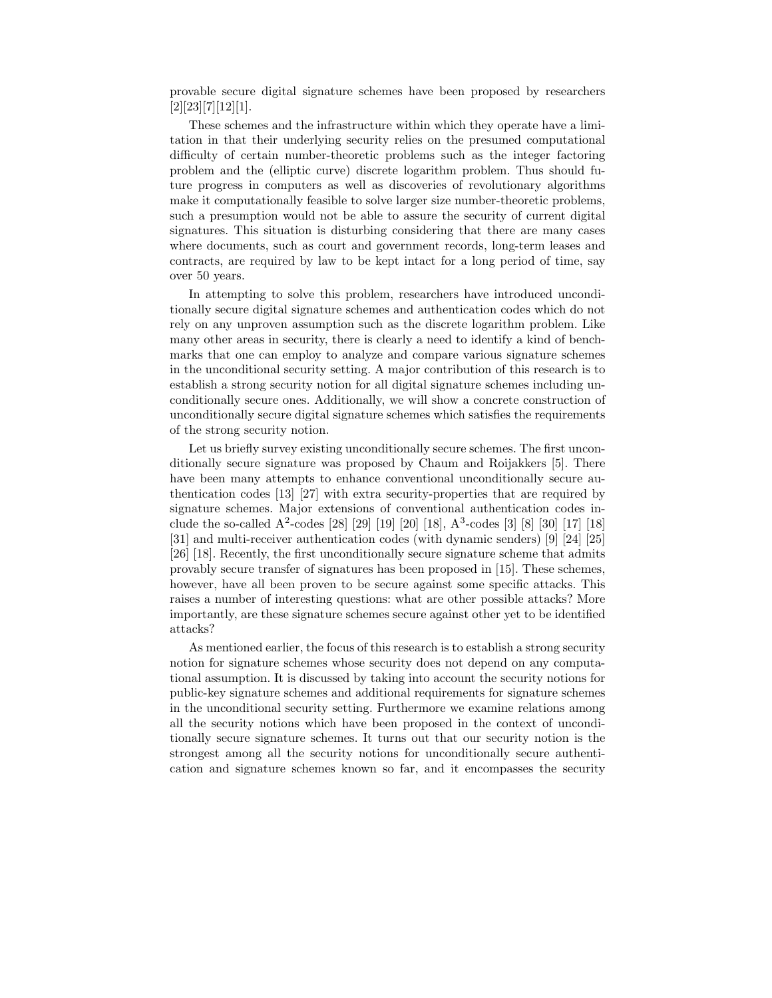provable secure digital signature schemes have been proposed by researchers  $[2][23][7][12][1].$ 

These schemes and the infrastructure within which they operate have a limitation in that their underlying security relies on the presumed computational difficulty of certain number-theoretic problems such as the integer factoring problem and the (elliptic curve) discrete logarithm problem. Thus should future progress in computers as well as discoveries of revolutionary algorithms make it computationally feasible to solve larger size number-theoretic problems, such a presumption would not be able to assure the security of current digital signatures. This situation is disturbing considering that there are many cases where documents, such as court and government records, long-term leases and contracts, are required by law to be kept intact for a long period of time, say over 50 years.

In attempting to solve this problem, researchers have introduced unconditionally secure digital signature schemes and authentication codes which do not rely on any unproven assumption such as the discrete logarithm problem. Like many other areas in security, there is clearly a need to identify a kind of benchmarks that one can employ to analyze and compare various signature schemes in the unconditional security setting. A major contribution of this research is to establish a strong security notion for all digital signature schemes including unconditionally secure ones. Additionally, we will show a concrete construction of unconditionally secure digital signature schemes which satisfies the requirements of the strong security notion.

Let us briefly survey existing unconditionally secure schemes. The first unconditionally secure signature was proposed by Chaum and Roijakkers [5]. There have been many attempts to enhance conventional unconditionally secure authentication codes [13] [27] with extra security-properties that are required by signature schemes. Major extensions of conventional authentication codes include the so-called A<sup>2</sup> -codes [28] [29] [19] [20] [18], A<sup>3</sup> -codes [3] [8] [30] [17] [18] [31] and multi-receiver authentication codes (with dynamic senders) [9] [24] [25] [26] [18]. Recently, the first unconditionally secure signature scheme that admits provably secure transfer of signatures has been proposed in [15]. These schemes, however, have all been proven to be secure against some specific attacks. This raises a number of interesting questions: what are other possible attacks? More importantly, are these signature schemes secure against other yet to be identified attacks?

As mentioned earlier, the focus of this research is to establish a strong security notion for signature schemes whose security does not depend on any computational assumption. It is discussed by taking into account the security notions for public-key signature schemes and additional requirements for signature schemes in the unconditional security setting. Furthermore we examine relations among all the security notions which have been proposed in the context of unconditionally secure signature schemes. It turns out that our security notion is the strongest among all the security notions for unconditionally secure authentication and signature schemes known so far, and it encompasses the security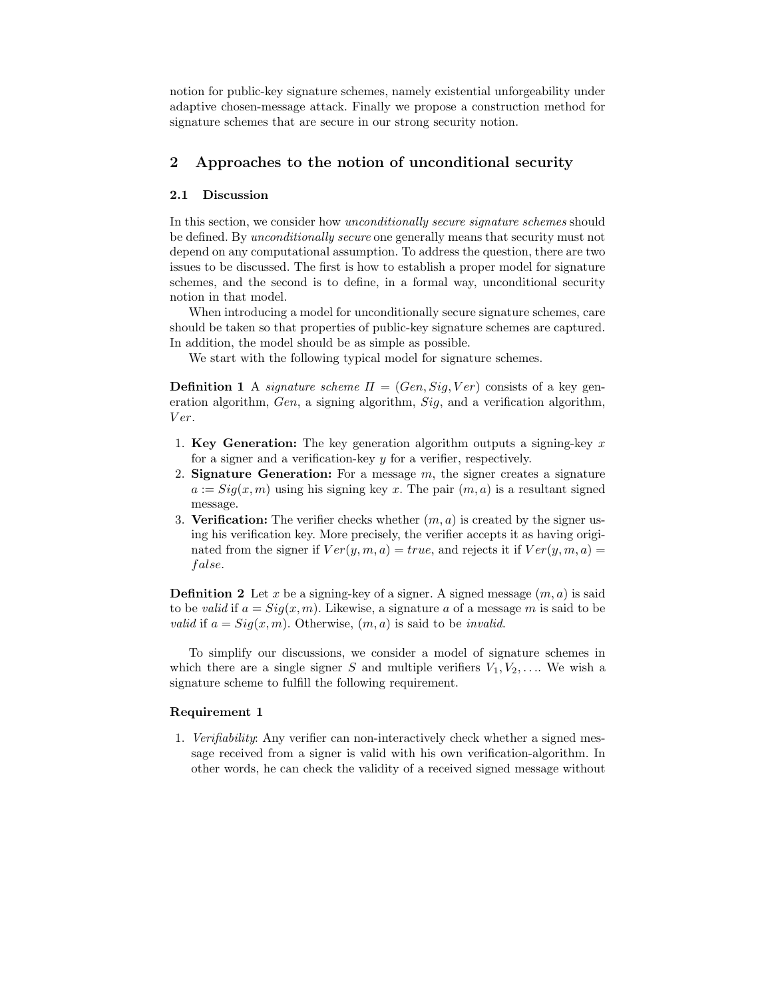notion for public-key signature schemes, namely existential unforgeability under adaptive chosen-message attack. Finally we propose a construction method for signature schemes that are secure in our strong security notion.

## 2 Approaches to the notion of unconditional security

#### 2.1 Discussion

In this section, we consider how unconditionally secure signature schemes should be defined. By unconditionally secure one generally means that security must not depend on any computational assumption. To address the question, there are two issues to be discussed. The first is how to establish a proper model for signature schemes, and the second is to define, in a formal way, unconditional security notion in that model.

When introducing a model for unconditionally secure signature schemes, care should be taken so that properties of public-key signature schemes are captured. In addition, the model should be as simple as possible.

We start with the following typical model for signature schemes.

**Definition 1** A signature scheme  $\Pi = (Gen, Sig, Ver)$  consists of a key generation algorithm, Gen, a signing algorithm, Sig, and a verification algorithm, V er.

- 1. Key Generation: The key generation algorithm outputs a signing-key  $x$ for a signer and a verification-key y for a verifier, respectively.
- 2. Signature Generation: For a message  $m$ , the signer creates a signature  $a := Sig(x, m)$  using his signing key x. The pair  $(m, a)$  is a resultant signed message.
- 3. Verification: The verifier checks whether  $(m, a)$  is created by the signer using his verification key. More precisely, the verifier accepts it as having originated from the signer if  $Ver(y, m, a) = true$ , and rejects it if  $Ver(y, m, a) =$ false.

**Definition 2** Let x be a signing-key of a signer. A signed message  $(m, a)$  is said to be *valid* if  $a = Sig(x, m)$ . Likewise, a signature a of a message m is said to be *valid* if  $a = Sig(x, m)$ . Otherwise,  $(m, a)$  is said to be *invalid*.

To simplify our discussions, we consider a model of signature schemes in which there are a single signer S and multiple verifiers  $V_1, V_2, \ldots$  We wish a signature scheme to fulfill the following requirement.

#### Requirement 1

1. Verifiability: Any verifier can non-interactively check whether a signed message received from a signer is valid with his own verification-algorithm. In other words, he can check the validity of a received signed message without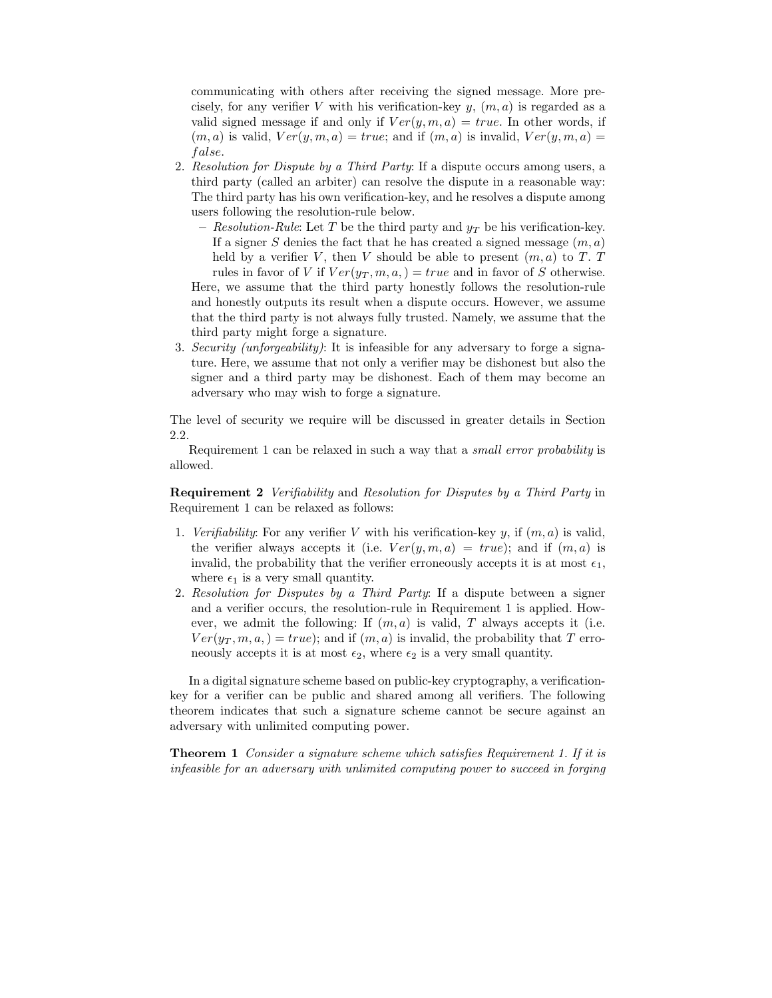communicating with others after receiving the signed message. More precisely, for any verifier V with his verification-key  $y, (m, a)$  is regarded as a valid signed message if and only if  $Ver(y, m, a) = true$ . In other words, if  $(m, a)$  is valid,  $Ver(y, m, a) = true$ ; and if  $(m, a)$  is invalid,  $Ver(y, m, a) =$ false.

- 2. Resolution for Dispute by a Third Party: If a dispute occurs among users, a third party (called an arbiter) can resolve the dispute in a reasonable way: The third party has his own verification-key, and he resolves a dispute among users following the resolution-rule below.
	- Resolution-Rule: Let T be the third party and  $y_T$  be his verification-key. If a signer S denies the fact that he has created a signed message  $(m, a)$ held by a verifier V, then V should be able to present  $(m, a)$  to T. T rules in favor of V if  $Ver(y_T, m, a) = true$  and in favor of S otherwise.

Here, we assume that the third party honestly follows the resolution-rule and honestly outputs its result when a dispute occurs. However, we assume that the third party is not always fully trusted. Namely, we assume that the third party might forge a signature.

3. Security (unforgeability): It is infeasible for any adversary to forge a signature. Here, we assume that not only a verifier may be dishonest but also the signer and a third party may be dishonest. Each of them may become an adversary who may wish to forge a signature.

The level of security we require will be discussed in greater details in Section 2.2.

Requirement 1 can be relaxed in such a way that a small error probability is allowed.

Requirement 2 Verifiability and Resolution for Disputes by a Third Party in Requirement 1 can be relaxed as follows:

- 1. Verifiability: For any verifier V with his verification-key y, if  $(m, a)$  is valid, the verifier always accepts it (i.e.  $Ver(y, m, a) = true$ ); and if  $(m, a)$  is invalid, the probability that the verifier erroneously accepts it is at most  $\epsilon_1$ , where  $\epsilon_1$  is a very small quantity.
- 2. Resolution for Disputes by a Third Party: If a dispute between a signer and a verifier occurs, the resolution-rule in Requirement 1 is applied. However, we admit the following: If  $(m, a)$  is valid, T always accepts it (i.e.  $Ver(y_T, m, a) = true$ ; and if  $(m, a)$  is invalid, the probability that T erroneously accepts it is at most  $\epsilon_2$ , where  $\epsilon_2$  is a very small quantity.

In a digital signature scheme based on public-key cryptography, a verificationkey for a verifier can be public and shared among all verifiers. The following theorem indicates that such a signature scheme cannot be secure against an adversary with unlimited computing power.

**Theorem 1** Consider a signature scheme which satisfies Requirement 1. If it is infeasible for an adversary with unlimited computing power to succeed in forging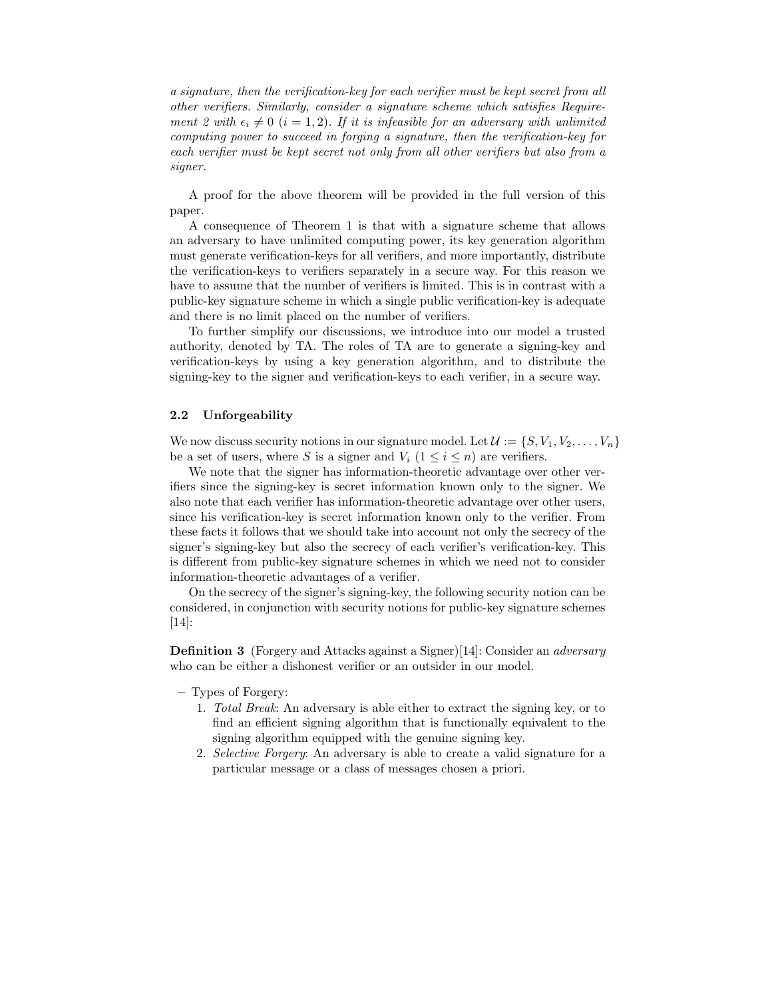a signature, then the verification-key for each verifier must be kept secret from all other verifiers. Similarly, consider a signature scheme which satisfies Requirement 2 with  $\epsilon_i \neq 0$  (i = 1,2). If it is infeasible for an adversary with unlimited computing power to succeed in forging a signature, then the verification-key for each verifier must be kept secret not only from all other verifiers but also from a signer.

A proof for the above theorem will be provided in the full version of this paper.

A consequence of Theorem 1 is that with a signature scheme that allows an adversary to have unlimited computing power, its key generation algorithm must generate verification-keys for all verifiers, and more importantly, distribute the verification-keys to verifiers separately in a secure way. For this reason we have to assume that the number of verifiers is limited. This is in contrast with a public-key signature scheme in which a single public verification-key is adequate and there is no limit placed on the number of verifiers.

To further simplify our discussions, we introduce into our model a trusted authority, denoted by TA. The roles of TA are to generate a signing-key and verification-keys by using a key generation algorithm, and to distribute the signing-key to the signer and verification-keys to each verifier, in a secure way.

#### 2.2 Unforgeability

We now discuss security notions in our signature model. Let  $\mathcal{U} := \{S, V_1, V_2, \ldots, V_n\}$ be a set of users, where S is a signer and  $V_i$   $(1 \leq i \leq n)$  are verifiers.

We note that the signer has information-theoretic advantage over other verifiers since the signing-key is secret information known only to the signer. We also note that each verifier has information-theoretic advantage over other users, since his verification-key is secret information known only to the verifier. From these facts it follows that we should take into account not only the secrecy of the signer's signing-key but also the secrecy of each verifier's verification-key. This is different from public-key signature schemes in which we need not to consider information-theoretic advantages of a verifier.

On the secrecy of the signer's signing-key, the following security notion can be considered, in conjunction with security notions for public-key signature schemes [14]:

**Definition 3** (Forgery and Attacks against a Signer)[14]: Consider an *adversary* who can be either a dishonest verifier or an outsider in our model.

- Types of Forgery:
	- 1. Total Break: An adversary is able either to extract the signing key, or to find an efficient signing algorithm that is functionally equivalent to the signing algorithm equipped with the genuine signing key.
	- 2. Selective Forgery: An adversary is able to create a valid signature for a particular message or a class of messages chosen a priori.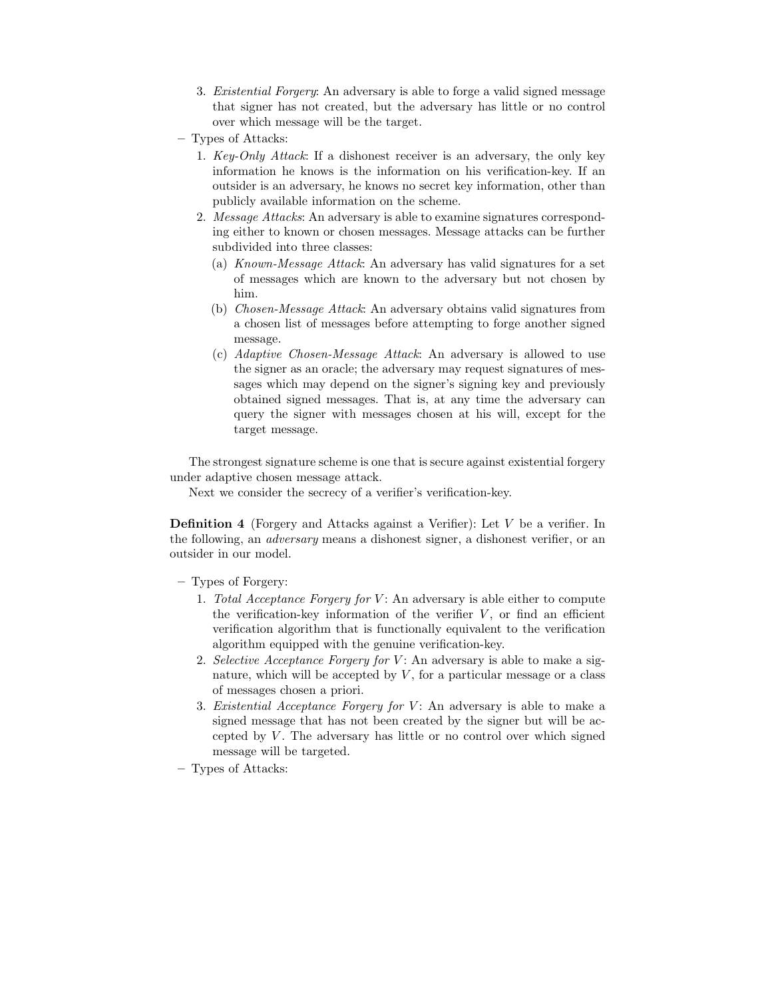- 3. Existential Forgery: An adversary is able to forge a valid signed message that signer has not created, but the adversary has little or no control over which message will be the target.
- Types of Attacks:
	- 1. Key-Only Attack: If a dishonest receiver is an adversary, the only key information he knows is the information on his verification-key. If an outsider is an adversary, he knows no secret key information, other than publicly available information on the scheme.
	- 2. Message Attacks: An adversary is able to examine signatures corresponding either to known or chosen messages. Message attacks can be further subdivided into three classes:
		- (a) Known-Message Attack: An adversary has valid signatures for a set of messages which are known to the adversary but not chosen by him.
		- (b) Chosen-Message Attack: An adversary obtains valid signatures from a chosen list of messages before attempting to forge another signed message.
		- (c) Adaptive Chosen-Message Attack: An adversary is allowed to use the signer as an oracle; the adversary may request signatures of messages which may depend on the signer's signing key and previously obtained signed messages. That is, at any time the adversary can query the signer with messages chosen at his will, except for the target message.

The strongest signature scheme is one that is secure against existential forgery under adaptive chosen message attack.

Next we consider the secrecy of a verifier's verification-key.

Definition 4 (Forgery and Attacks against a Verifier): Let V be a verifier. In the following, an adversary means a dishonest signer, a dishonest verifier, or an outsider in our model.

- Types of Forgery:
	- 1. Total Acceptance Forgery for  $V$ : An adversary is able either to compute the verification-key information of the verifier  $V$ , or find an efficient verification algorithm that is functionally equivalent to the verification algorithm equipped with the genuine verification-key.
	- 2. Selective Acceptance Forgery for  $V$ : An adversary is able to make a signature, which will be accepted by  $V$ , for a particular message or a class of messages chosen a priori.
	- 3. Existential Acceptance Forgery for  $V$ : An adversary is able to make a signed message that has not been created by the signer but will be accepted by  $V$ . The adversary has little or no control over which signed message will be targeted.
- Types of Attacks: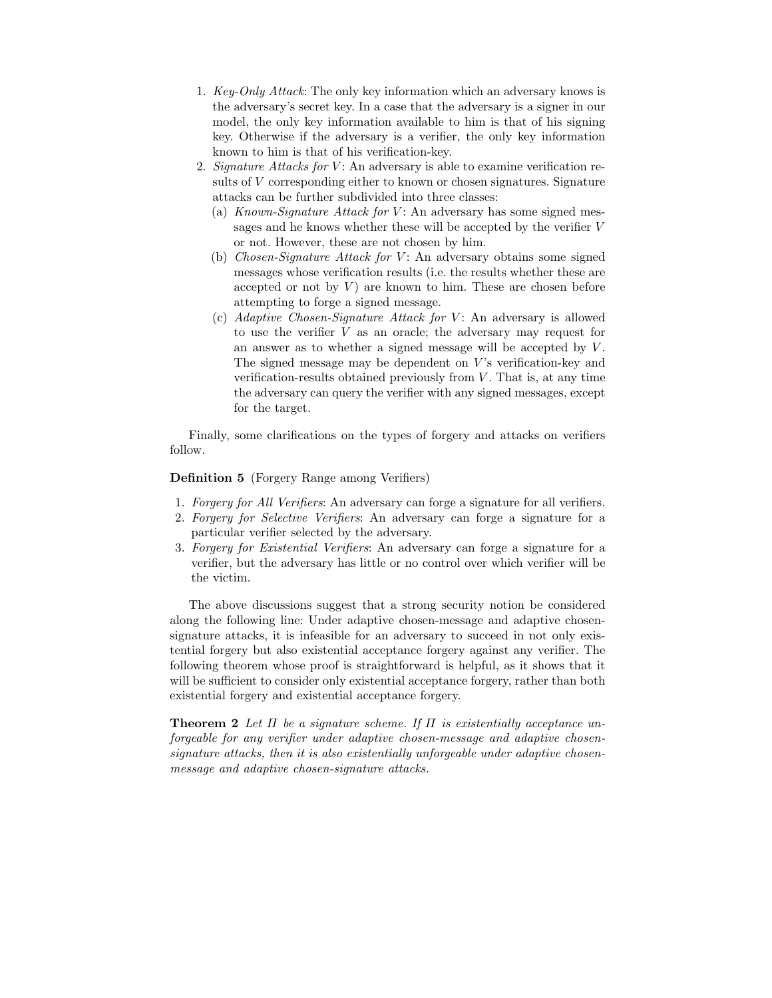- 1. Key-Only Attack: The only key information which an adversary knows is the adversary's secret key. In a case that the adversary is a signer in our model, the only key information available to him is that of his signing key. Otherwise if the adversary is a verifier, the only key information known to him is that of his verification-key.
- 2. Signature Attacks for  $V$ : An adversary is able to examine verification results of V corresponding either to known or chosen signatures. Signature attacks can be further subdivided into three classes:
	- (a) Known-Signature Attack for V: An adversary has some signed messages and he knows whether these will be accepted by the verifier V or not. However, these are not chosen by him.
	- (b) Chosen-Signature Attack for  $V$ : An adversary obtains some signed messages whose verification results (i.e. the results whether these are accepted or not by  $V$ ) are known to him. These are chosen before attempting to forge a signed message.
	- (c)  $Adaptive\ Chosen-Signature\ Attack for\ V:$  An adversary is allowed to use the verifier V as an oracle; the adversary may request for an answer as to whether a signed message will be accepted by  $V$ . The signed message may be dependent on  $V$ 's verification-key and verification-results obtained previously from  $V$ . That is, at any time the adversary can query the verifier with any signed messages, except for the target.

Finally, some clarifications on the types of forgery and attacks on verifiers follow.

Definition 5 (Forgery Range among Verifiers)

- 1. Forgery for All Verifiers: An adversary can forge a signature for all verifiers.
- 2. Forgery for Selective Verifiers: An adversary can forge a signature for a particular verifier selected by the adversary.
- 3. Forgery for Existential Verifiers: An adversary can forge a signature for a verifier, but the adversary has little or no control over which verifier will be the victim.

The above discussions suggest that a strong security notion be considered along the following line: Under adaptive chosen-message and adaptive chosensignature attacks, it is infeasible for an adversary to succeed in not only existential forgery but also existential acceptance forgery against any verifier. The following theorem whose proof is straightforward is helpful, as it shows that it will be sufficient to consider only existential acceptance forgery, rather than both existential forgery and existential acceptance forgery.

**Theorem 2** Let  $\Pi$  be a signature scheme. If  $\Pi$  is existentially acceptance unforgeable for any verifier under adaptive chosen-message and adaptive chosensignature attacks, then it is also existentially unforgeable under adaptive chosenmessage and adaptive chosen-signature attacks.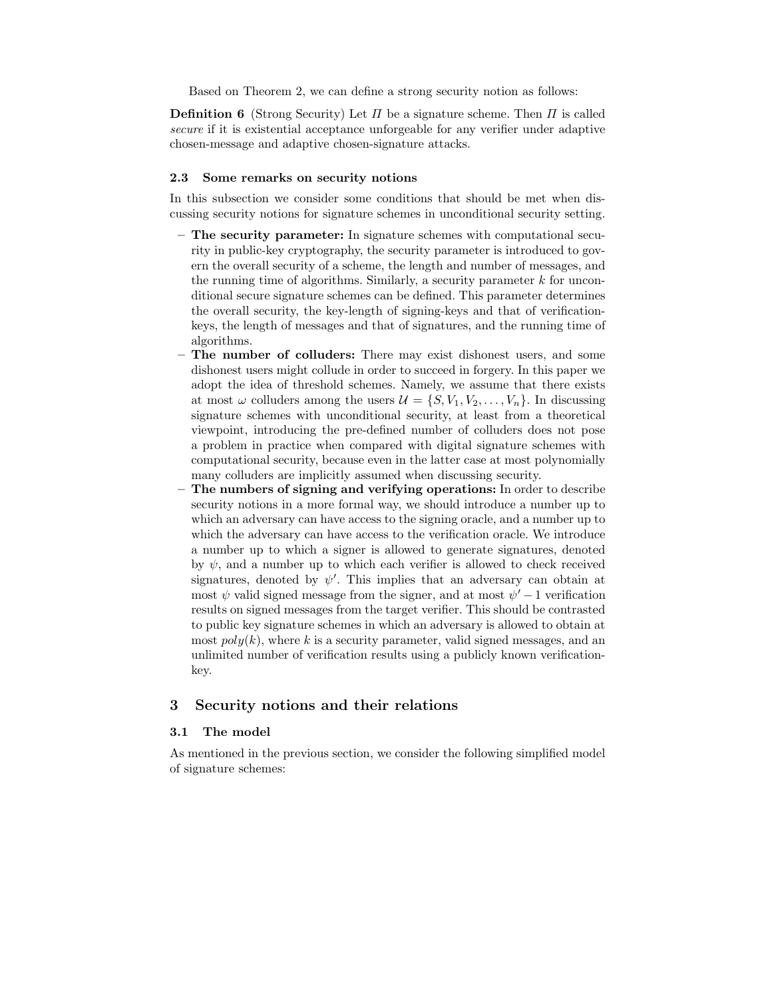Based on Theorem 2, we can define a strong security notion as follows:

**Definition 6** (Strong Security) Let  $\Pi$  be a signature scheme. Then  $\Pi$  is called secure if it is existential acceptance unforgeable for any verifier under adaptive chosen-message and adaptive chosen-signature attacks.

#### 2.3 Some remarks on security notions

In this subsection we consider some conditions that should be met when discussing security notions for signature schemes in unconditional security setting.

- The security parameter: In signature schemes with computational security in public-key cryptography, the security parameter is introduced to govern the overall security of a scheme, the length and number of messages, and the running time of algorithms. Similarly, a security parameter  $k$  for unconditional secure signature schemes can be defined. This parameter determines the overall security, the key-length of signing-keys and that of verificationkeys, the length of messages and that of signatures, and the running time of algorithms.
- The number of colluders: There may exist dishonest users, and some dishonest users might collude in order to succeed in forgery. In this paper we adopt the idea of threshold schemes. Namely, we assume that there exists at most  $\omega$  colluders among the users  $\mathcal{U} = \{S, V_1, V_2, \ldots, V_n\}$ . In discussing signature schemes with unconditional security, at least from a theoretical viewpoint, introducing the pre-defined number of colluders does not pose a problem in practice when compared with digital signature schemes with computational security, because even in the latter case at most polynomially many colluders are implicitly assumed when discussing security.
- The numbers of signing and verifying operations: In order to describe security notions in a more formal way, we should introduce a number up to which an adversary can have access to the signing oracle, and a number up to which the adversary can have access to the verification oracle. We introduce a number up to which a signer is allowed to generate signatures, denoted by  $\psi$ , and a number up to which each verifier is allowed to check received signatures, denoted by  $\psi'$ . This implies that an adversary can obtain at most  $\psi$  valid signed message from the signer, and at most  $\psi' - 1$  verification results on signed messages from the target verifier. This should be contrasted to public key signature schemes in which an adversary is allowed to obtain at most  $poly(k)$ , where k is a security parameter, valid signed messages, and an unlimited number of verification results using a publicly known verificationkey.

# 3 Security notions and their relations

### 3.1 The model

As mentioned in the previous section, we consider the following simplified model of signature schemes: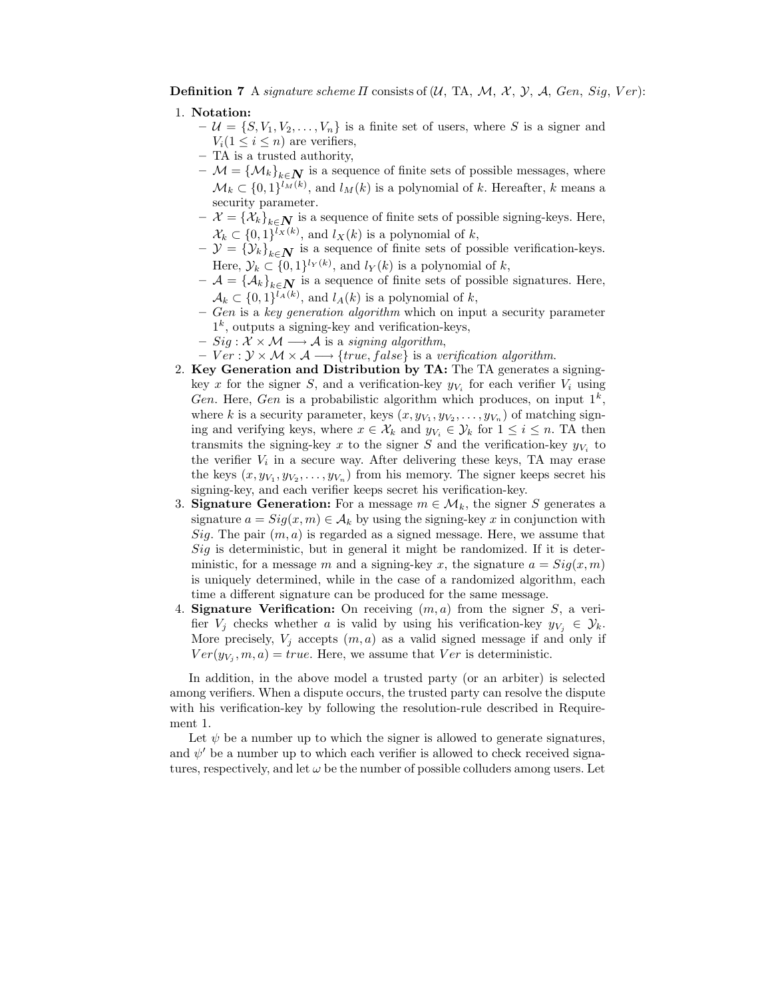**Definition 7** A signature scheme  $\Pi$  consists of  $(\mathcal{U}, TA, \mathcal{M}, \mathcal{X}, \mathcal{Y}, \mathcal{A}, Gen, Sig, Ver):$ 

#### 1. Notation:

- $-U = \{S, V_1, V_2, \ldots, V_n\}$  is a finite set of users, where S is a signer and  $V_i(1 \leq i \leq n)$  are verifiers,
- TA is a trusted authority,
- $\mathcal{M} = {\{\mathcal{M}_k\}}_{k \in \mathbb{N}}$  is a sequence of finite sets of possible messages, where  $\mathcal{M}_k \subset \{0,1\}^{l_M(k)}$ , and  $l_M(k)$  is a polynomial of k. Hereafter, k means a security parameter.
- $-\mathcal{X} = {\mathcal{X}_k}_{k \in \mathbb{N}}$  is a sequence of finite sets of possible signing-keys. Here,  $\mathcal{X}_k \subset \{0,1\}^{l_X(k)}$ , and  $l_X(k)$  is a polynomial of k,
- $-\mathcal{Y} = {\mathcal{Y}_k}_{k \in \mathbb{N}}$  is a sequence of finite sets of possible verification-keys. Here,  $\mathcal{Y}_k \subset \{0,1\}^{l_Y(k)}$ , and  $l_Y(k)$  is a polynomial of k,
- $A = \{A_k\}_{k \in \mathbb{N}}$  is a sequence of finite sets of possible signatures. Here,  $\mathcal{A}_k \subset \{0,1\}^{l_A(k)}$ , and  $l_A(k)$  is a polynomial of k,
- $Gen$  is a key generation algorithm which on input a security parameter  $1<sup>k</sup>$ , outputs a signing-key and verification-keys,
- $Sig : \mathcal{X} \times \mathcal{M} \longrightarrow \mathcal{A}$  is a signing algorithm,
- $-Ver: \mathcal{Y} \times \mathcal{M} \times \mathcal{A} \longrightarrow \{true, false\}$  is a verification algorithm.
- 2. Key Generation and Distribution by TA: The TA generates a signingkey x for the signer S, and a verification-key  $y_{V_i}$  for each verifier  $V_i$  using Gen. Here, Gen is a probabilistic algorithm which produces, on input  $1^k$ , where k is a security parameter, keys  $(x, y_{V_1}, y_{V_2}, \ldots, y_{V_n})$  of matching signing and verifying keys, where  $x \in \mathcal{X}_k$  and  $y_{V_i} \in \mathcal{Y}_k$  for  $1 \leq i \leq n$ . TA then transmits the signing-key x to the signer S and the verification-key  $y_{V_i}$  to the verifier  $V_i$  in a secure way. After delivering these keys, TA may erase the keys  $(x, y_{V_1}, y_{V_2}, \ldots, y_{V_n})$  from his memory. The signer keeps secret his signing-key, and each verifier keeps secret his verification-key.
- 3. Signature Generation: For a message  $m \in \mathcal{M}_k$ , the signer S generates a signature  $a = Sig(x, m) \in \mathcal{A}_k$  by using the signing-key x in conjunction with Sig. The pair  $(m, a)$  is regarded as a signed message. Here, we assume that Sig is deterministic, but in general it might be randomized. If it is deterministic, for a message m and a signing-key x, the signature  $a = Sig(x, m)$ is uniquely determined, while in the case of a randomized algorithm, each time a different signature can be produced for the same message.
- 4. **Signature Verification:** On receiving  $(m, a)$  from the signer S, a verifier  $V_i$  checks whether a is valid by using his verification-key  $y_{V_i} \in \mathcal{Y}_k$ . More precisely,  $V_i$  accepts  $(m, a)$  as a valid signed message if and only if  $Ver(y_{V_j}, m, a) = true$ . Here, we assume that  $Ver$  is deterministic.

In addition, in the above model a trusted party (or an arbiter) is selected among verifiers. When a dispute occurs, the trusted party can resolve the dispute with his verification-key by following the resolution-rule described in Requirement 1.

Let  $\psi$  be a number up to which the signer is allowed to generate signatures, and  $\psi'$  be a number up to which each verifier is allowed to check received signatures, respectively, and let  $\omega$  be the number of possible colluders among users. Let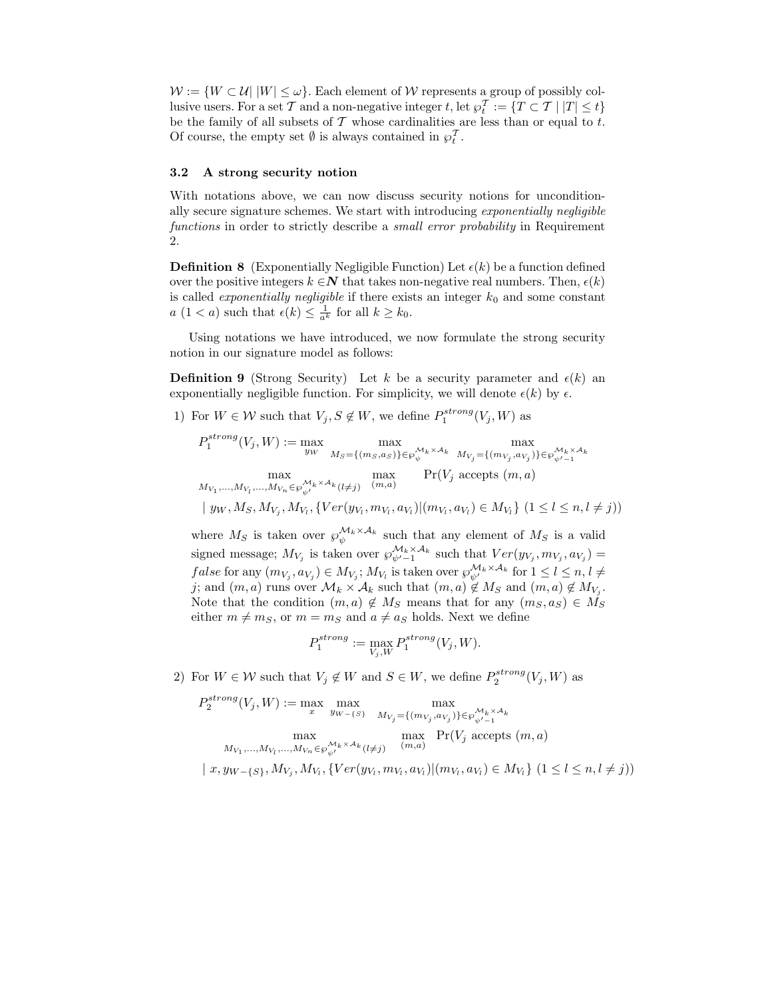$W := \{W \subset \mathcal{U} \mid |W| \leq \omega\}.$  Each element of W represents a group of possibly collusive users. For a set T and a non-negative integer t, let  $\wp_t^{\mathcal{T}} := \{T \subset T \mid |T| \leq t\}$ be the family of all subsets of  $\mathcal T$  whose cardinalities are less than or equal to  $t$ . Of course, the empty set  $\emptyset$  is always contained in  $\wp_t^{\mathcal{T}}$ .

#### 3.2 A strong security notion

With notations above, we can now discuss security notions for unconditionally secure signature schemes. We start with introducing exponentially negligible functions in order to strictly describe a *small error probability* in Requirement 2.

**Definition 8** (Exponentially Negligible Function) Let  $\epsilon(k)$  be a function defined over the positive integers  $k \in \mathbb{N}$  that takes non-negative real numbers. Then,  $\epsilon(k)$ is called *exponentially negligible* if there exists an integer  $k_0$  and some constant  $a (1 < a)$  such that  $\epsilon(k) \leq \frac{1}{a^k}$  for all  $k \geq k_0$ .

Using notations we have introduced, we now formulate the strong security notion in our signature model as follows:

**Definition 9** (Strong Security) Let k be a security parameter and  $\epsilon(k)$  and exponentially negligible function. For simplicity, we will denote  $\epsilon(k)$  by  $\epsilon$ .

1) For  $W \in \mathcal{W}$  such that  $V_j$ ,  $S \notin W$ , we define  $P_1^{strong}(V_j, W)$  as

$$
P_1^{strong}(V_j, W) := \max_{y_W} \max_{M_S = \{(m_S, a_S)\} \in \wp_{\psi}^{\mathcal{M}_k \times \mathcal{A}_k} M_{V_j} = \{(m_{V_j}, a_{V_j})\} \in \wp_{\psi'-1}^{\mathcal{M}_k \times \mathcal{A}_k}
$$
  
\n
$$
\max_{M_{V_1}, \dots, M_{V_l}, \dots, M_{V_n} \in \wp_{\psi'}^{\mathcal{M}_k \times \mathcal{A}_k}(l \neq j)} \max_{(m, a)} \Pr(V_j \text{ accepts } (m, a)
$$
  
\n
$$
| y_W, M_S, M_{V_j}, M_{V_l}, \{ Ver(y_{V_l}, m_{V_l}, a_{V_l}) | (m_{V_l}, a_{V_l}) \in M_{V_l} \} (1 \leq l \leq n, l \neq j))
$$

where  $M_S$  is taken over  $\wp_{\psi}^{\mathcal{M}_k \times \mathcal{A}_k}$  such that any element of  $M_S$  is a valid signed message;  $M_{V_j}$  is taken over  $\wp^{\mathcal{M}_k \times \mathcal{A}_k}_{\psi'-1}$  such that  $Ver(y_{V_j}, m_{V_j}, a_{V_j}) =$  $false$  for any  $(m_{V_j}, a_{V_j}) \in M_{V_j}$ ;  $M_{V_l}$  is taken over  $\wp_{\psi'}^{\mathcal{M}_k \times \mathcal{A}_k}$  for  $1 \leq l \leq n, l \neq j$ j; and  $(m, a)$  runs over  $\mathcal{M}_k \times \mathcal{A}_k$  such that  $(m, a) \notin M_S$  and  $(m, a) \notin M_{V_j}$ . Note that the condition  $(m, a) \notin M_S$  means that for any  $(m_S, a_S) \in M_S$ either  $m \neq m_S$ , or  $m = m_S$  and  $a \neq a_S$  holds. Next we define

$$
P_1^{strong} := \max_{V_j, W} P_1^{strong}(V_j, W).
$$

2) For  $W \in \mathcal{W}$  such that  $V_j \notin W$  and  $S \in W$ , we define  $P_2^{strong}(V_j, W)$  as

$$
P_2^{strong}(V_j, W) := \max_{x} \max_{y_{W-\{S\}}} \max_{M_{V_j} = \{(m_{V_j}, a_{V_j})\} \in \wp_{\psi'}^{\mathcal{M}_k \times \mathcal{A}_k}}
$$
  

$$
\max_{M_{V_1}, \dots, M_{V_l}, \dots, M_{V_n} \in \wp_{\psi'}^{\mathcal{M}_k \times \mathcal{A}_k}(l \neq j)} \max_{(m, a)} \Pr(V_j \text{ accepts } (m, a)
$$
  

$$
\mid x, y_{W-\{S\}}, M_{V_j}, M_{V_l}, \{Ver(y_{V_l}, m_{V_l}, a_{V_l}) | (m_{V_l}, a_{V_l}) \in M_{V_l}\} \ (1 \leq l \leq n, l \neq j))
$$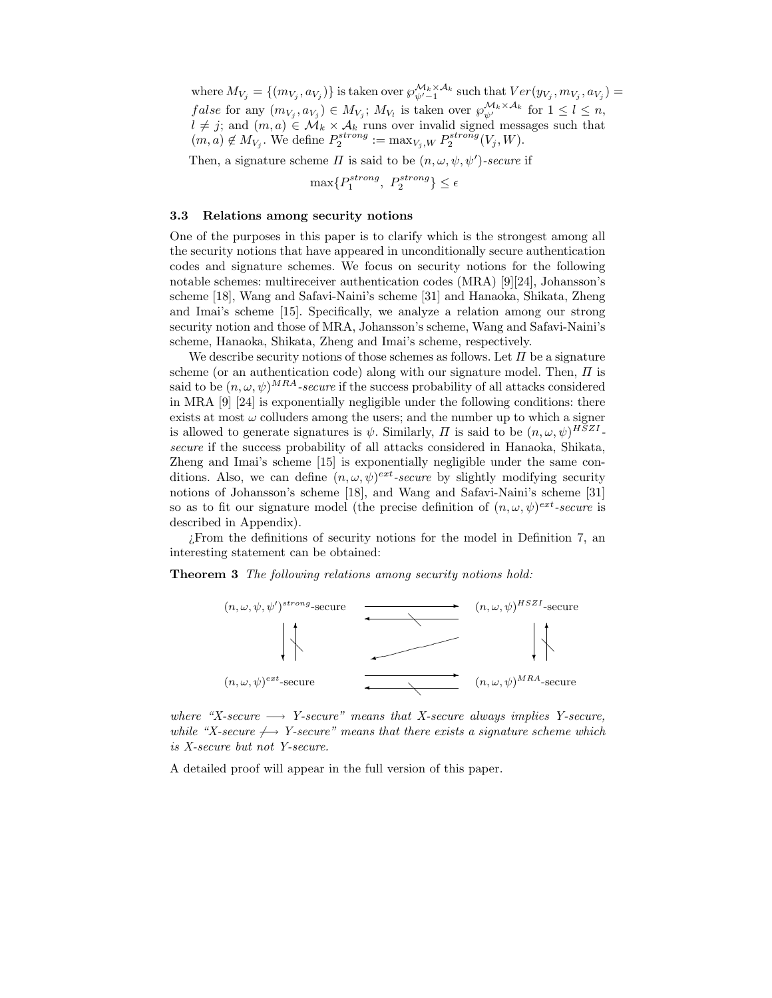where  $M_{V_j} = \{(m_{V_j}, a_{V_j})\}$  is taken over  $\wp_{\psi' - 1}^{\mathcal{M}_k \times \mathcal{A}_k}$  such that  $Ver(y_{V_j}, m_{V_j}, a_{V_j}) =$ false for any  $(m_{V_j}, a_{V_j}) \in M_{V_j}$ ;  $M_{V_l}$  is taken over  $\wp_{\psi'}^{\mathcal{M}_k \times \mathcal{A}_k}$  for  $1 \leq l \leq n$ ,  $l \neq j$ ; and  $(m, a) \in \mathcal{M}_k \times \mathcal{A}_k$  runs over invalid signed messages such that  $(m, a) \notin M_{V_j}$ . We define  $P_2^{strong} := \max_{V_j, W} P_2^{strong}(V_j, W)$ .

Then, a signature scheme  $\Pi$  is said to be  $(n, \omega, \psi, \psi')$ -secure if

 $\max\{P_1^{strong}, P_2^{strong}\} \leq \epsilon$ 

#### 3.3 Relations among security notions

One of the purposes in this paper is to clarify which is the strongest among all the security notions that have appeared in unconditionally secure authentication codes and signature schemes. We focus on security notions for the following notable schemes: multireceiver authentication codes (MRA) [9][24], Johansson's scheme [18], Wang and Safavi-Naini's scheme [31] and Hanaoka, Shikata, Zheng and Imai's scheme [15]. Specifically, we analyze a relation among our strong security notion and those of MRA, Johansson's scheme, Wang and Safavi-Naini's scheme, Hanaoka, Shikata, Zheng and Imai's scheme, respectively.

We describe security notions of those schemes as follows. Let  $\Pi$  be a signature scheme (or an authentication code) along with our signature model. Then,  $\Pi$  is said to be  $(n, \omega, \psi)^{MRA}$ -secure if the success probability of all attacks considered in MRA [9] [24] is exponentially negligible under the following conditions: there exists at most  $\omega$  colluders among the users; and the number up to which a signer is allowed to generate signatures is  $\psi$ . Similarly,  $\Pi$  is said to be  $(n, \omega, \psi)^{HSZI}$ . secure if the success probability of all attacks considered in Hanaoka, Shikata, Zheng and Imai's scheme [15] is exponentially negligible under the same conditions. Also, we can define  $(n, \omega, \psi)^{ext}$ -secure by slightly modifying security notions of Johansson's scheme [18], and Wang and Safavi-Naini's scheme [31] so as to fit our signature model (the precise definition of  $(n, \omega, \psi)^{ext}$ -secure is described in Appendix).

¿From the definitions of security notions for the model in Definition 7, an interesting statement can be obtained:

Theorem 3 The following relations among security notions hold:



where "X-secure  $\longrightarrow$  Y-secure" means that X-secure always implies Y-secure, while "X-secure  $\rightarrow$  Y-secure" means that there exists a signature scheme which is X-secure but not Y-secure.

A detailed proof will appear in the full version of this paper.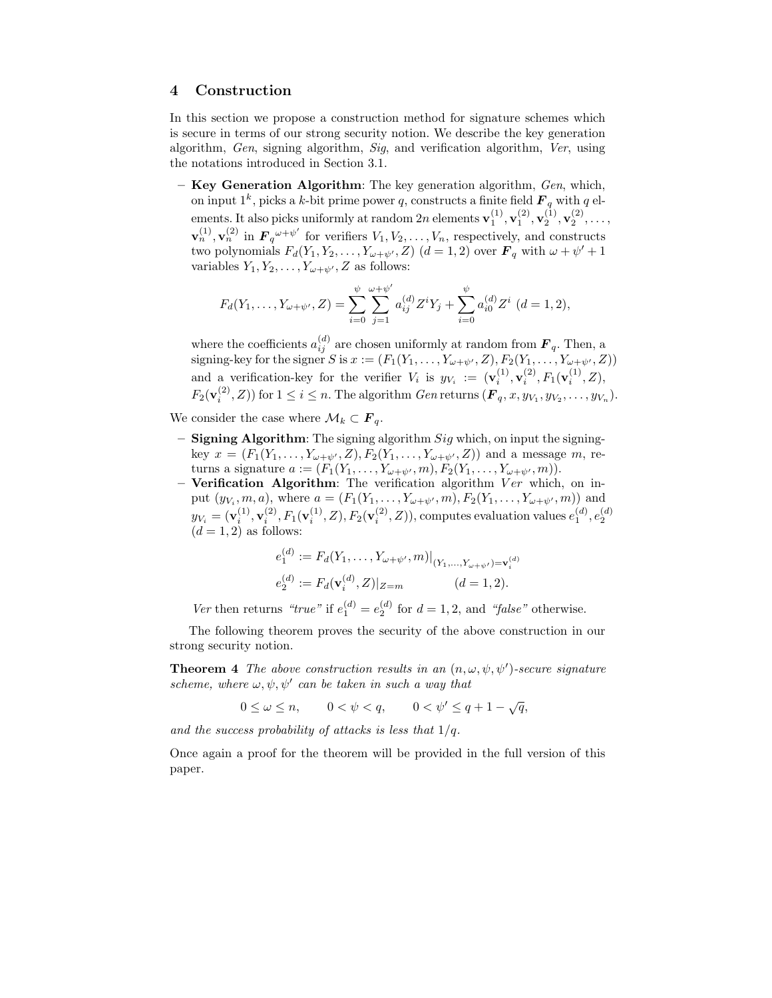## 4 Construction

In this section we propose a construction method for signature schemes which is secure in terms of our strong security notion. We describe the key generation algorithm, Gen, signing algorithm, Sig, and verification algorithm, Ver, using the notations introduced in Section 3.1.

– Key Generation Algorithm: The key generation algorithm,  $Gen$ , which, on input  $1^k$ , picks a k-bit prime power q, constructs a finite field  $\mathbf{F}_q$  with q elements. It also picks uniformly at random  $2n$  elements  $\mathbf{v}_1^{(1)}, \mathbf{v}_1^{(2)}, \mathbf{v}_2^{(1)}, \mathbf{v}_2^{(2)}, \ldots$ ,  $\mathbf{v}_n^{(1)}, \mathbf{v}_n^{(2)}$  in  $\mathbf{F}_q^{\omega+\psi'}$  for verifiers  $V_1, V_2, \ldots, V_n$ , respectively, and constructs two polynomials  $F_d(Y_1, Y_2, \ldots, Y_{\omega+\psi'}, Z)$   $(d = 1, 2)$  over  $\mathbf{F}_q$  with  $\omega + \psi' + 1$ variables  $Y_1, Y_2, \ldots, Y_{\omega+\psi'}$ , Z as follows:

$$
F_d(Y_1,\ldots,Y_{\omega+\psi'},Z)=\sum_{i=0}^{\psi}\sum_{j=1}^{\omega+\psi'}a_{ij}^{(d)}Z^iY_j+\sum_{i=0}^{\psi}a_{i0}^{(d)}Z^i\ (d=1,2),
$$

where the coefficients  $a_{ij}^{(d)}$  are chosen uniformly at random from  $\mathbf{F}_q$ . Then, a signing-key for the signer S is  $x := (F_1(Y_1, \ldots, Y_{\omega+\psi'}, Z), F_2(Y_1, \ldots, Y_{\omega+\psi'}, Z))$ and a verification-key for the verifier  $V_i$  is  $y_{V_i} := (\mathbf{v}_i^{(1)}, \mathbf{v}_i^{(2)}, F_1(\mathbf{v}_i^{(1)}, Z))$ ,  $F_2(\mathbf{v}_i^{(2)}, Z)$  for  $1 \le i \le n$ . The algorithm Gen returns  $(\mathbf{F}_q, x, y_{V_1}, y_{V_2}, \dots, y_{V_n})$ .

We consider the case where  $\mathcal{M}_k \subset \mathbf{F}_q$ .

- Signing Algorithm: The signing algorithm  $Sig$  which, on input the signingkey  $x = (F_1(Y_1, ..., Y_{\omega+\psi'}, Z), F_2(Y_1, ..., Y_{\omega+\psi'}, Z))$  and a message m, returns a signature  $a := (F_1(Y_1, ..., Y_{\omega+\psi'}, m), F_2(Y_1, ..., Y_{\omega+\psi'}, m)).$
- Verification Algorithm: The verification algorithm  $Ver$  which, on input  $(y_{V_i}, m, a)$ , where  $a = (F_1(Y_1, \ldots, Y_{\omega + \psi'}, m), F_2(Y_1, \ldots, Y_{\omega + \psi'}, m))$  and  $y_{V_i} = (\mathbf{v}_i^{(1)}, \mathbf{v}_i^{(2)}, F_1(\mathbf{v}_i^{(1)}, Z), F_2(\mathbf{v}_i^{(2)}, Z)),$  computes evaluation values  $e_1^{(d)}, e_2^{(d)}$  $(d = 1, 2)$  as follows:

$$
e_1^{(d)} := F_d(Y_1, \dots, Y_{\omega + \psi'}, m)|_{(Y_1, \dots, Y_{\omega + \psi'}) = \mathbf{v}_i^{(d)}}
$$
  

$$
e_2^{(d)} := F_d(\mathbf{v}_i^{(d)}, Z)|_{Z=m}
$$
 (d = 1, 2).

Ver then returns "true" if  $e_1^{(d)} = e_2^{(d)}$  for  $d = 1, 2$ , and "false" otherwise.

The following theorem proves the security of the above construction in our strong security notion.

**Theorem 4** The above construction results in an  $(n, \omega, \psi, \psi')$ -secure signature scheme, where  $\omega, \psi, \psi'$  can be taken in such a way that

$$
0\leq \omega\leq n,\qquad 0<\psi
$$

and the success probability of attacks is less that  $1/q$ .

Once again a proof for the theorem will be provided in the full version of this paper.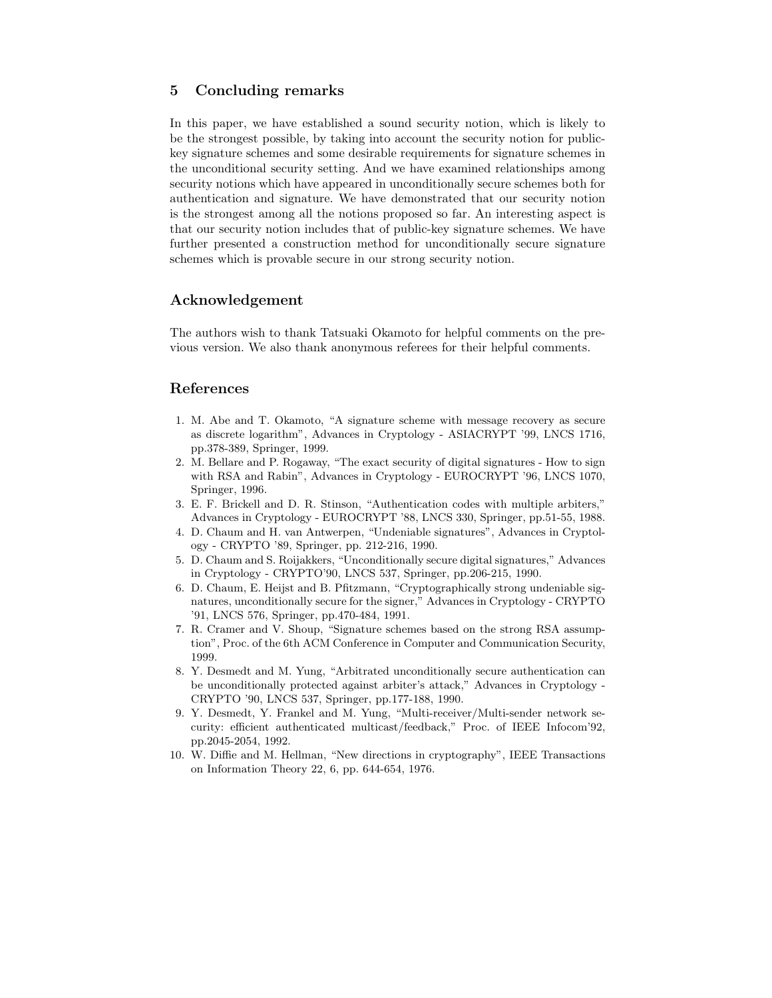# 5 Concluding remarks

In this paper, we have established a sound security notion, which is likely to be the strongest possible, by taking into account the security notion for publickey signature schemes and some desirable requirements for signature schemes in the unconditional security setting. And we have examined relationships among security notions which have appeared in unconditionally secure schemes both for authentication and signature. We have demonstrated that our security notion is the strongest among all the notions proposed so far. An interesting aspect is that our security notion includes that of public-key signature schemes. We have further presented a construction method for unconditionally secure signature schemes which is provable secure in our strong security notion.

# Acknowledgement

The authors wish to thank Tatsuaki Okamoto for helpful comments on the previous version. We also thank anonymous referees for their helpful comments.

## References

- 1. M. Abe and T. Okamoto, "A signature scheme with message recovery as secure as discrete logarithm", Advances in Cryptology - ASIACRYPT '99, LNCS 1716, pp.378-389, Springer, 1999.
- 2. M. Bellare and P. Rogaway, "The exact security of digital signatures How to sign with RSA and Rabin", Advances in Cryptology - EUROCRYPT '96, LNCS 1070, Springer, 1996.
- 3. E. F. Brickell and D. R. Stinson, "Authentication codes with multiple arbiters," Advances in Cryptology - EUROCRYPT '88, LNCS 330, Springer, pp.51-55, 1988.
- 4. D. Chaum and H. van Antwerpen, "Undeniable signatures", Advances in Cryptology - CRYPTO '89, Springer, pp. 212-216, 1990.
- 5. D. Chaum and S. Roijakkers, "Unconditionally secure digital signatures," Advances in Cryptology - CRYPTO'90, LNCS 537, Springer, pp.206-215, 1990.
- 6. D. Chaum, E. Heijst and B. Pfitzmann, "Cryptographically strong undeniable signatures, unconditionally secure for the signer," Advances in Cryptology - CRYPTO '91, LNCS 576, Springer, pp.470-484, 1991.
- 7. R. Cramer and V. Shoup, "Signature schemes based on the strong RSA assumption", Proc. of the 6th ACM Conference in Computer and Communication Security, 1999.
- 8. Y. Desmedt and M. Yung, "Arbitrated unconditionally secure authentication can be unconditionally protected against arbiter's attack," Advances in Cryptology - CRYPTO '90, LNCS 537, Springer, pp.177-188, 1990.
- 9. Y. Desmedt, Y. Frankel and M. Yung, "Multi-receiver/Multi-sender network security: efficient authenticated multicast/feedback," Proc. of IEEE Infocom'92, pp.2045-2054, 1992.
- 10. W. Diffie and M. Hellman, "New directions in cryptography", IEEE Transactions on Information Theory 22, 6, pp. 644-654, 1976.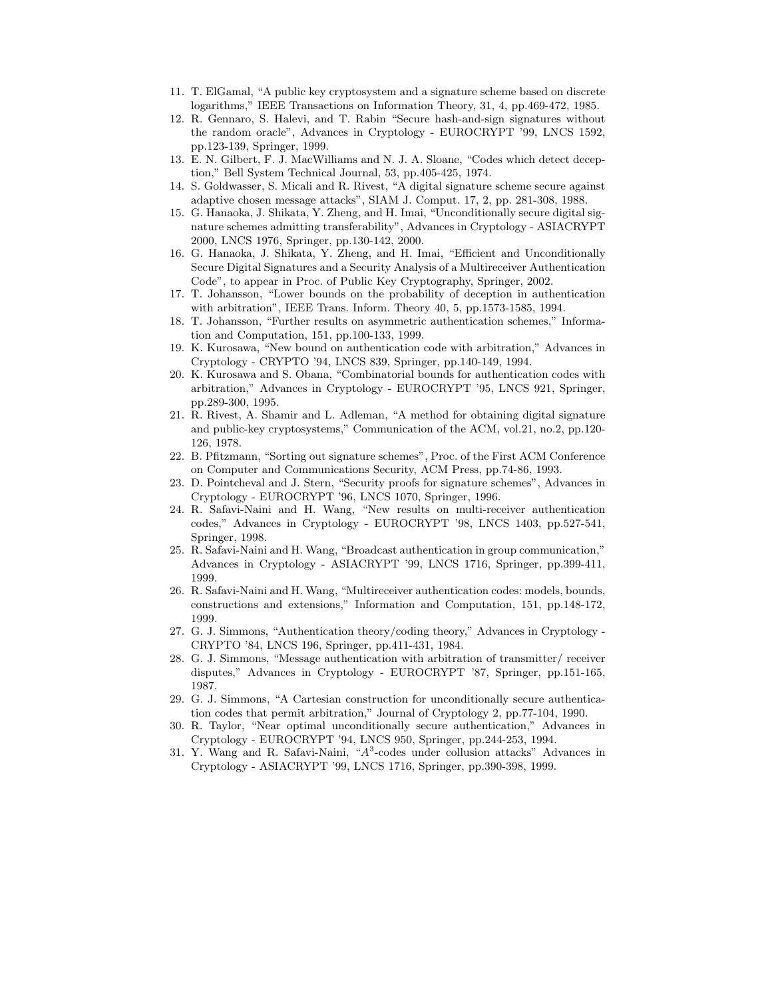- 11. T. ElGamal, "A public key cryptosystem and a signature scheme based on discrete logarithms," IEEE Transactions on Information Theory, 31, 4, pp.469-472, 1985.
- 12. R. Gennaro, S. Halevi, and T. Rabin "Secure hash-and-sign signatures without the random oracle", Advances in Cryptology - EUROCRYPT '99, LNCS 1592, pp.123-139, Springer, 1999.
- 13. E. N. Gilbert, F. J. MacWilliams and N. J. A. Sloane, "Codes which detect deception," Bell System Technical Journal, 53, pp.405-425, 1974.
- 14. S. Goldwasser, S. Micali and R. Rivest, "A digital signature scheme secure against adaptive chosen message attacks", SIAM J. Comput. 17, 2, pp. 281-308, 1988.
- 15. G. Hanaoka, J. Shikata, Y. Zheng, and H. Imai, "Unconditionally secure digital signature schemes admitting transferability", Advances in Cryptology - ASIACRYPT 2000, LNCS 1976, Springer, pp.130-142, 2000.
- 16. G. Hanaoka, J. Shikata, Y. Zheng, and H. Imai, "Efficient and Unconditionally Secure Digital Signatures and a Security Analysis of a Multireceiver Authentication Code", to appear in Proc. of Public Key Cryptography, Springer, 2002.
- 17. T. Johansson, "Lower bounds on the probability of deception in authentication with arbitration", IEEE Trans. Inform. Theory 40, 5, pp.1573-1585, 1994.
- 18. T. Johansson, "Further results on asymmetric authentication schemes," Information and Computation, 151, pp.100-133, 1999.
- 19. K. Kurosawa, "New bound on authentication code with arbitration," Advances in Cryptology - CRYPTO '94, LNCS 839, Springer, pp.140-149, 1994.
- 20. K. Kurosawa and S. Obana, "Combinatorial bounds for authentication codes with arbitration," Advances in Cryptology - EUROCRYPT '95, LNCS 921, Springer, pp.289-300, 1995.
- 21. R. Rivest, A. Shamir and L. Adleman, "A method for obtaining digital signature and public-key cryptosystems," Communication of the ACM, vol.21, no.2, pp.120- 126, 1978.
- 22. B. Pfitzmann, "Sorting out signature schemes", Proc. of the First ACM Conference on Computer and Communications Security, ACM Press, pp.74-86, 1993.
- 23. D. Pointcheval and J. Stern, "Security proofs for signature schemes", Advances in Cryptology - EUROCRYPT '96, LNCS 1070, Springer, 1996.
- 24. R. Safavi-Naini and H. Wang, "New results on multi-receiver authentication codes," Advances in Cryptology - EUROCRYPT '98, LNCS 1403, pp.527-541, Springer, 1998.
- 25. R. Safavi-Naini and H. Wang, "Broadcast authentication in group communication," Advances in Cryptology - ASIACRYPT '99, LNCS 1716, Springer, pp.399-411, 1999.
- 26. R. Safavi-Naini and H. Wang, "Multireceiver authentication codes: models, bounds, constructions and extensions," Information and Computation, 151, pp.148-172, 1999.
- 27. G. J. Simmons, "Authentication theory/coding theory," Advances in Cryptology CRYPTO '84, LNCS 196, Springer, pp.411-431, 1984.
- 28. G. J. Simmons, "Message authentication with arbitration of transmitter/ receiver disputes," Advances in Cryptology - EUROCRYPT '87, Springer, pp.151-165, 1987.
- 29. G. J. Simmons, "A Cartesian construction for unconditionally secure authentication codes that permit arbitration," Journal of Cryptology 2, pp.77-104, 1990.
- 30. R. Taylor, "Near optimal unconditionally secure authentication," Advances in Cryptology - EUROCRYPT '94, LNCS 950, Springer, pp.244-253, 1994.
- 31. Y. Wang and R. Safavi-Naini,  $A^3$ -codes under collusion attacks" Advances in Cryptology - ASIACRYPT '99, LNCS 1716, Springer, pp.390-398, 1999.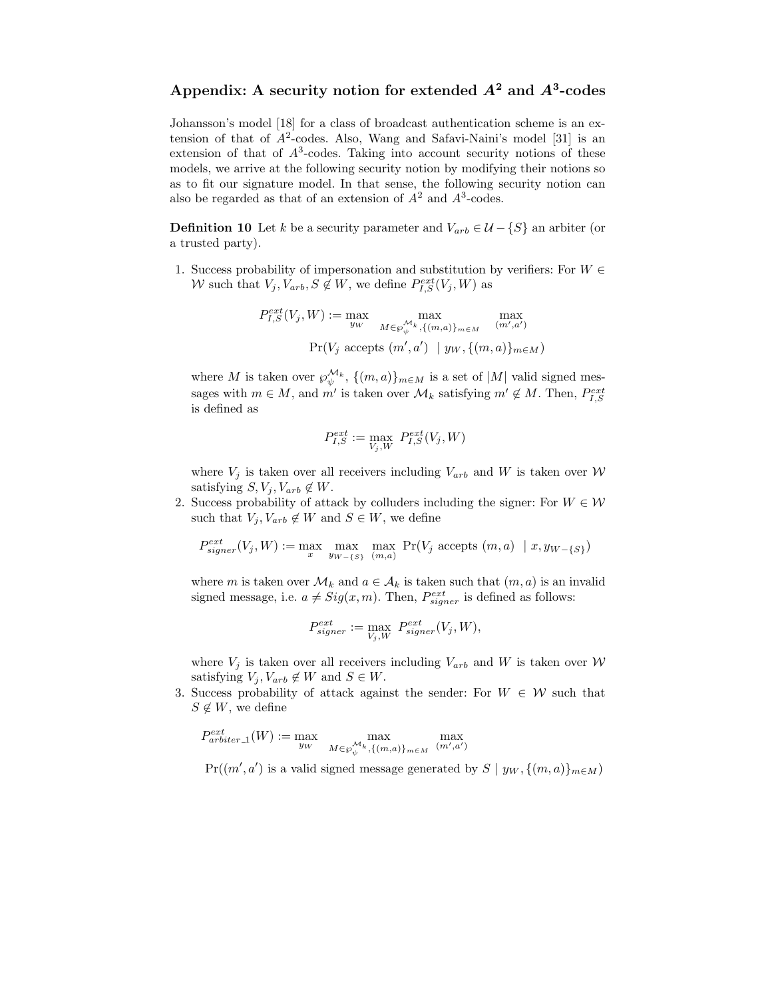# Appendix: A security notion for extended  $A<sup>2</sup>$  and  $A<sup>3</sup>$ -codes

Johansson's model [18] for a class of broadcast authentication scheme is an extension of that of  $A^2$ -codes. Also, Wang and Safavi-Naini's model [31] is an extension of that of  $A<sup>3</sup>$ -codes. Taking into account security notions of these models, we arrive at the following security notion by modifying their notions so as to fit our signature model. In that sense, the following security notion can also be regarded as that of an extension of  $A<sup>2</sup>$  and  $A<sup>3</sup>$ -codes.

**Definition 10** Let k be a security parameter and  $V_{arb} \in \mathcal{U} - \{S\}$  an arbiter (or a trusted party).

1. Success probability of impersonation and substitution by verifiers: For  $W \in$ W such that  $V_j$ ,  $V_{arb}$ ,  $S \notin W$ , we define  $P_{I,S}^{ext}(V_j, W)$  as

$$
P_{I,S}^{ext}(V_j, W) := \max_{yw} \max_{M \in \wp_{\psi}^{\mathcal{M}_k}, \{(m, a)\}_{m \in M}} \max_{(m', a')} \max_{(m', a')} \Pr(V_j \text{ accepts } (m', a') \mid y_W, \{(m, a)\}_{m \in M})
$$

where M is taken over  $\wp_{\psi}^{\mathcal{M}_k}$ ,  $\{(m, a)\}_{m \in M}$  is a set of  $|M|$  valid signed messages with  $m \in M$ , and  $m'$  is taken over  $\mathcal{M}_k$  satisfying  $m' \notin M$ . Then,  $P_{I,S}^{ext}$ is defined as

$$
P_{I,S}^{ext} := \max_{V_j,W} P_{I,S}^{ext}(V_j, W)
$$

where  $V_j$  is taken over all receivers including  $V_{arb}$  and W is taken over W satisfying  $S, V_j, V_{arb} \notin W$ .

2. Success probability of attack by colluders including the signer: For  $W \in \mathcal{W}$ such that  $V_j, V_{arb} \not\in W$  and  $S \in W,$  we define

$$
P_{signer}^{ext}(V_j, W) := \max_{x} \max_{y_{W-\{S\}}} \max_{(m, a)} \Pr(V_j \text{ accepts } (m, a) \mid x, y_{W-\{S\}})
$$

where m is taken over  $\mathcal{M}_k$  and  $a \in \mathcal{A}_k$  is taken such that  $(m, a)$  is an invalid signed message, i.e.  $a \neq Sig(x, m)$ . Then,  $P_{signer}^{ext}$  is defined as follows:

$$
P_{signer}^{ext} := \max_{V_j, W} P_{signer}^{ext}(V_j, W),
$$

where  $V_j$  is taken over all receivers including  $V_{arb}$  and W is taken over W satisfying  $V_j, V_{arb} \notin W$  and  $S \in W$ .

3. Success probability of attack against the sender: For  $W \in \mathcal{W}$  such that  $S \notin W$ , we define

$$
P_{arbiter\_1}^{ext}(W) := \max_{y_W} \max_{M \in \wp_{\psi}^{\mathcal{M}_k}, \{(m,a)\}_{m \in M}} \max_{(m',a')}
$$

 $Pr((m', a')$  is a valid signed message generated by  $S \mid y_W, \{(m, a)\}_{m \in M})$